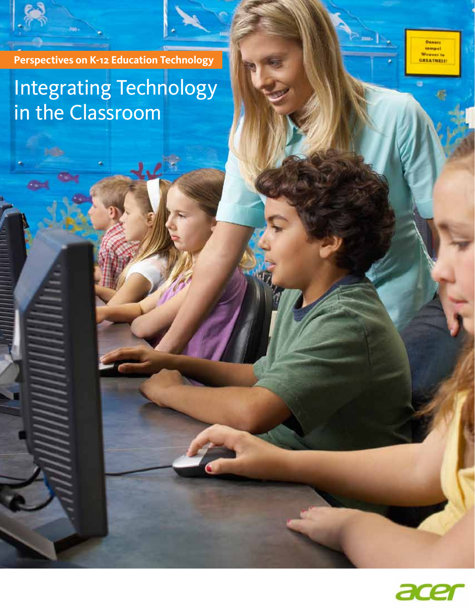**Perspectives on K-12 Education Technology**

**es** 

œ

Integrating Technology in the Classroom



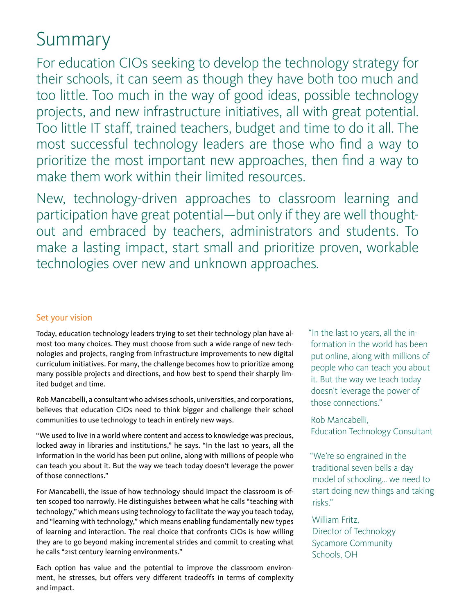# **Summary**

For education CIOs seeking to develop the technology strategy for their schools, it can seem as though they have both too much and too little. Too much in the way of good ideas, possible technology projects, and new infrastructure initiatives, all with great potential. Too little IT staff, trained teachers, budget and time to do it all. The most successful technology leaders are those who find a way to prioritize the most important new approaches, then find a way to make them work within their limited resources.

New, technology-driven approaches to classroom learning and participation have great potential—but only if they are well thoughtout and embraced by teachers, administrators and students. To make a lasting impact, start small and prioritize proven, workable technologies over new and unknown approaches.

## Set your vision

Today, education technology leaders trying to set their technology plan have almost too many choices. They must choose from such a wide range of new technologies and projects, ranging from infrastructure improvements to new digital curriculum initiatives. For many, the challenge becomes how to prioritize among many possible projects and directions, and how best to spend their sharply limited budget and time.

Rob Mancabelli, a consultant who advises schools, universities, and corporations, believes that education CIOs need to think bigger and challenge their school communities to use technology to teach in entirely new ways.

"We used to live in a world where content and access to knowledge was precious, locked away in libraries and institutions," he says. "In the last 10 years, all the information in the world has been put online, along with millions of people who can teach you about it. But the way we teach today doesn't leverage the power of those connections."

For Mancabelli, the issue of how technology should impact the classroom is often scoped too narrowly. He distinguishes between what he calls "teaching with technology," which means using technology to facilitate the way you teach today, and "learning with technology," which means enabling fundamentally new types of learning and interaction. The real choice that confronts CIOs is how willing they are to go beyond making incremental strides and commit to creating what he calls "21st century learning environments."

Each option has value and the potential to improve the classroom environment, he stresses, but offers very different tradeoffs in terms of complexity and impact.

"In the last 10 years, all the information in the world has been put online, along with millions of people who can teach you about it. But the way we teach today doesn't leverage the power of those connections."

Rob Mancabelli, Education Technology Consultant

"We're so engrained in the traditional seven-bells-a-day model of schooling… we need to start doing new things and taking risks."

William Fritz, Director of Technology Sycamore Community Schools, OH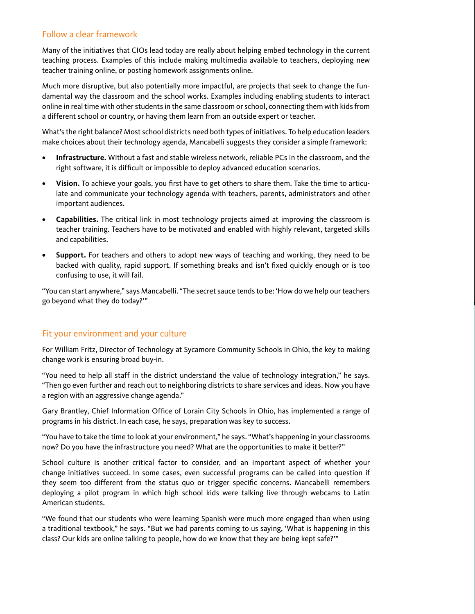### Follow a clear framework

Many of the initiatives that CIOs lead today are really about helping embed technology in the current teaching process. Examples of this include making multimedia available to teachers, deploying new teacher training online, or posting homework assignments online.

Much more disruptive, but also potentially more impactful, are projects that seek to change the fundamental way the classroom and the school works. Examples including enabling students to interact online in real time with other students in the same classroom or school, connecting them with kids from a different school or country, or having them learn from an outside expert or teacher.

What's the right balance? Most school districts need both types of initiatives. To help education leaders make choices about their technology agenda, Mancabelli suggests they consider a simple framework:

- Infrastructure. Without a fast and stable wireless network, reliable PCs in the classroom, and the right software, it is difficult or impossible to deploy advanced education scenarios.
- **Vision.** To achieve your goals, you first have to get others to share them. Take the time to articulate and communicate your technology agenda with teachers, parents, administrators and other important audiences.
- **• Capabilities.** The critical link in most technology projects aimed at improving the classroom is teacher training. Teachers have to be motivated and enabled with highly relevant, targeted skills and capabilities.
- **Support.** For teachers and others to adopt new ways of teaching and working, they need to be backed with quality, rapid support. If something breaks and isn't fixed quickly enough or is too confusing to use, it will fail.

"You can start anywhere," says Mancabelli. "The secret sauce tends to be: 'How do we help our teachers go beyond what they do today?'"

#### Fit your environment and your culture

For William Fritz, Director of Technology at Sycamore Community Schools in Ohio, the key to making change work is ensuring broad buy-in.

"You need to help all staff in the district understand the value of technology integration," he says. "Then go even further and reach out to neighboring districts to share services and ideas. Now you have a region with an aggressive change agenda."

Gary Brantley, Chief Information Office of Lorain City Schools in Ohio, has implemented a range of programs in his district. In each case, he says, preparation was key to success.

"You have to take the time to look at your environment," he says. "What's happening in your classrooms now? Do you have the infrastructure you need? What are the opportunities to make it better?"

School culture is another critical factor to consider, and an important aspect of whether your change initiatives succeed. In some cases, even successful programs can be called into question if they seem too different from the status quo or trigger specific concerns. Mancabelli remembers deploying a pilot program in which high school kids were talking live through webcams to Latin American students.

"We found that our students who were learning Spanish were much more engaged than when using a traditional textbook," he says. "But we had parents coming to us saying, 'What is happening in this class? Our kids are online talking to people, how do we know that they are being kept safe?'"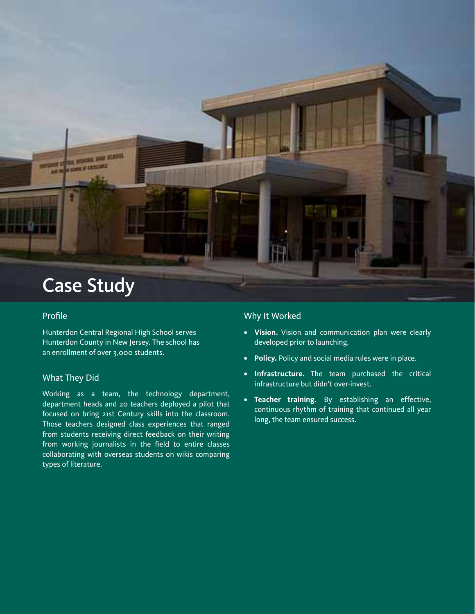

### Profile

Hunterdon Central Regional High School serves Hunterdon County in New Jersey. The school has an enrollment of over 3,000 students.

### What They Did

Working as a team, the technology department, department heads and 20 teachers deployed a pilot that focused on bring 21st Century skills into the classroom. Those teachers designed class experiences that ranged from students receiving direct feedback on their writing from working journalists in the field to entire classes collaborating with overseas students on wikis comparing types of literature.

#### Why It Worked

- **• Vision.** Vision and communication plan were clearly developed prior to launching.
- **• Policy.** Policy and social media rules were in place.
- **• Infrastructure.** The team purchased the critical infrastructure but didn't over-invest.
- **• Teacher training.** By establishing an effective, continuous rhythm of training that continued all year long, the team ensured success.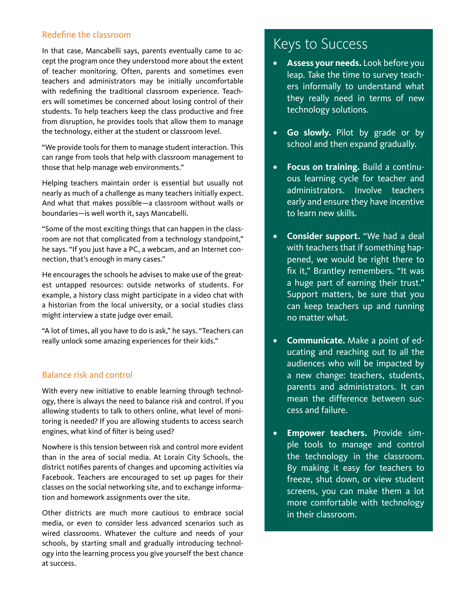#### Redefine the classroom

In that case, Mancabelli says, parents eventually came to accept the program once they understood more about the extent of teacher monitoring. Often, parents and sometimes even teachers and administrators may be initially uncomfortable with redefining the traditional classroom experience. Teachers will sometimes be concerned about losing control of their students. To help teachers keep the class productive and free from disruption, he provides tools that allow them to manage the technology, either at the student or classroom level.

"We provide tools for them to manage student interaction. This can range from tools that help with classroom management to those that help manage web environments."

Helping teachers maintain order is essential but usually not nearly as much of a challenge as many teachers initially expect. And what that makes possible—a classroom without walls or boundaries—is well worth it, says Mancabelli.

"Some of the most exciting things that can happen in the classroom are not that complicated from a technology standpoint," he says. "If you just have a PC, a webcam, and an Internet connection, that's enough in many cases."

He encourages the schools he advises to make use of the greatest untapped resources: outside networks of students. For example, a history class might participate in a video chat with a historian from the local university, or a social studies class might interview a state judge over email.

"A lot of times, all you have to do is ask," he says. "Teachers can really unlock some amazing experiences for their kids."

#### Balance risk and control

With every new initiative to enable learning through technology, there is always the need to balance risk and control. If you allowing students to talk to others online, what level of monitoring is needed? If you are allowing students to access search engines, what kind of filter is being used?

Nowhere is this tension between risk and control more evident than in the area of social media. At Lorain City Schools, the district notifies parents of changes and upcoming activities via Facebook. Teachers are encouraged to set up pages for their classes on the social networking site, and to exchange information and homework assignments over the site.

Other districts are much more cautious to embrace social media, or even to consider less advanced scenarios such as wired classrooms. Whatever the culture and needs of your schools, by starting small and gradually introducing technology into the learning process you give yourself the best chance at success.

# Keys to Success

- **• Assess your needs.** Look before you leap. Take the time to survey teachers informally to understand what they really need in terms of new technology solutions.
- **• Go slowly.** Pilot by grade or by school and then expand gradually.
- **• Focus on training.** Build a continuous learning cycle for teacher and administrators. Involve teachers early and ensure they have incentive to learn new skills.
- **• Consider support.** "We had a deal with teachers that if something happened, we would be right there to fix it," Brantley remembers. "It was a huge part of earning their trust." Support matters, be sure that you can keep teachers up and running no matter what.
- **• Communicate.** Make a point of educating and reaching out to all the audiences who will be impacted by a new change: teachers, students, parents and administrators. It can mean the difference between success and failure.
- **• Empower teachers.** Provide simple tools to manage and control the technology in the classroom. By making it easy for teachers to freeze, shut down, or view student screens, you can make them a lot more comfortable with technology in their classroom.